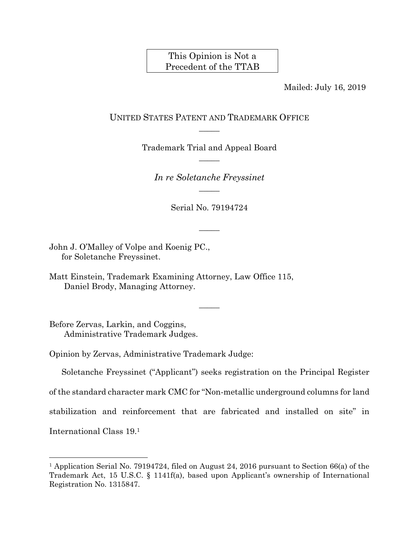# This Opinion is Not a Precedent of the TTAB

Mailed: July 16, 2019

## UNITED STATES PATENT AND TRADEMARK OFFICE  $\overline{\phantom{a}}$

Trademark Trial and Appeal Board  $\overline{\phantom{a}}$ 

*In re Soletanche Freyssinet*   $\overline{\phantom{a}}$ 

Serial No. 79194724

 $\overline{\phantom{a}}$ 

 $\overline{\phantom{a}}$ 

John J. O'Malley of Volpe and Koenig PC., for Soletanche Freyssinet.

Matt Einstein, Trademark Examining Attorney, Law Office 115, Daniel Brody, Managing Attorney.

Before Zervas, Larkin, and Coggins, Administrative Trademark Judges.

l

Opinion by Zervas, Administrative Trademark Judge:

Soletanche Freyssinet ("Applicant") seeks registration on the Principal Register of the standard character mark CMC for "Non-metallic underground columns for land stabilization and reinforcement that are fabricated and installed on site" in International Class 19.1

<sup>1</sup> Application Serial No. 79194724, filed on August 24, 2016 pursuant to Section 66(a) of the Trademark Act, 15 U.S.C. § 1141f(a), based upon Applicant's ownership of International Registration No. 1315847.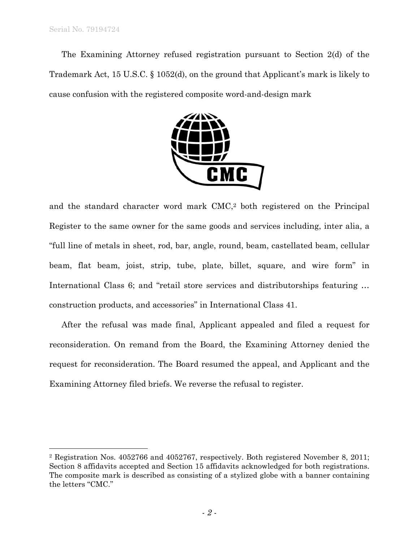$\overline{a}$ 

The Examining Attorney refused registration pursuant to Section 2(d) of the Trademark Act, 15 U.S.C. § 1052(d), on the ground that Applicant's mark is likely to cause confusion with the registered composite word-and-design mark



and the standard character word mark CMC,2 both registered on the Principal Register to the same owner for the same goods and services including, inter alia, a "full line of metals in sheet, rod, bar, angle, round, beam, castellated beam, cellular beam, flat beam, joist, strip, tube, plate, billet, square, and wire form" in International Class 6; and "retail store services and distributorships featuring … construction products, and accessories" in International Class 41.

After the refusal was made final, Applicant appealed and filed a request for reconsideration. On remand from the Board, the Examining Attorney denied the request for reconsideration. The Board resumed the appeal, and Applicant and the Examining Attorney filed briefs. We reverse the refusal to register.

<sup>2</sup> Registration Nos. 4052766 and 4052767, respectively. Both registered November 8, 2011; Section 8 affidavits accepted and Section 15 affidavits acknowledged for both registrations. The composite mark is described as consisting of a stylized globe with a banner containing the letters "CMC."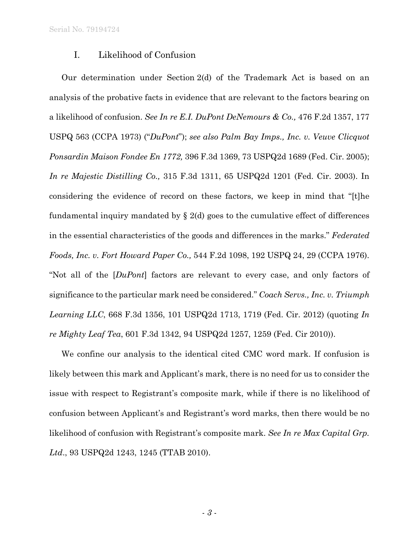#### I. Likelihood of Confusion

Our determination under Section 2(d) of the Trademark Act is based on an analysis of the probative facts in evidence that are relevant to the factors bearing on a likelihood of confusion. *See In re E.I. DuPont DeNemours & Co.,* 476 F.2d 1357, 177 USPQ 563 (CCPA 1973) ("*DuPont*"); *see also Palm Bay Imps., Inc. v. Veuve Clicquot Ponsardin Maison Fondee En 1772,* 396 F.3d 1369, 73 USPQ2d 1689 (Fed. Cir. 2005); *In re Majestic Distilling Co.,* 315 F.3d 1311, 65 USPQ2d 1201 (Fed. Cir. 2003). In considering the evidence of record on these factors, we keep in mind that "[t]he fundamental inquiry mandated by  $\S$  2(d) goes to the cumulative effect of differences in the essential characteristics of the goods and differences in the marks." *Federated Foods, Inc. v. Fort Howard Paper Co.,* 544 F.2d 1098, 192 USPQ 24, 29 (CCPA 1976). "Not all of the [*DuPont*] factors are relevant to every case, and only factors of significance to the particular mark need be considered." *Coach Servs., Inc. v. Triumph Learning LLC*, 668 F.3d 1356, 101 USPQ2d 1713, 1719 (Fed. Cir. 2012) (quoting *In re Mighty Leaf Tea*, 601 F.3d 1342, 94 USPQ2d 1257, 1259 (Fed. Cir 2010)).

We confine our analysis to the identical cited CMC word mark. If confusion is likely between this mark and Applicant's mark, there is no need for us to consider the issue with respect to Registrant's composite mark, while if there is no likelihood of confusion between Applicant's and Registrant's word marks, then there would be no likelihood of confusion with Registrant's composite mark. *See In re Max Capital Grp. Ltd*., 93 USPQ2d 1243, 1245 (TTAB 2010).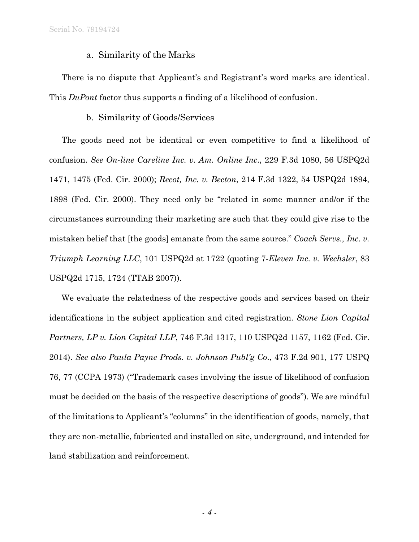### a. Similarity of the Marks

There is no dispute that Applicant's and Registrant's word marks are identical. This *DuPont* factor thus supports a finding of a likelihood of confusion.

### b. Similarity of Goods/Services

The goods need not be identical or even competitive to find a likelihood of confusion. *See On-line Careline Inc. v. Am. Online Inc*., 229 F.3d 1080, 56 USPQ2d 1471, 1475 (Fed. Cir. 2000); *Recot, Inc. v. Becton*, 214 F.3d 1322, 54 USPQ2d 1894, 1898 (Fed. Cir. 2000). They need only be "related in some manner and/or if the circumstances surrounding their marketing are such that they could give rise to the mistaken belief that [the goods] emanate from the same source." *Coach Servs., Inc. v. Triumph Learning LLC*, 101 USPQ2d at 1722 (quoting 7*-Eleven Inc. v. Wechsler*, 83 USPQ2d 1715, 1724 (TTAB 2007)).

We evaluate the relatedness of the respective goods and services based on their identifications in the subject application and cited registration. *Stone Lion Capital Partners, LP v. Lion Capital LLP*, 746 F.3d 1317, 110 USPQ2d 1157, 1162 (Fed. Cir. 2014). *See also Paula Payne Prods. v. Johnson Publ'g Co*., 473 F.2d 901, 177 USPQ 76, 77 (CCPA 1973) ("Trademark cases involving the issue of likelihood of confusion must be decided on the basis of the respective descriptions of goods"). We are mindful of the limitations to Applicant's "columns" in the identification of goods, namely, that they are non-metallic, fabricated and installed on site, underground, and intended for land stabilization and reinforcement.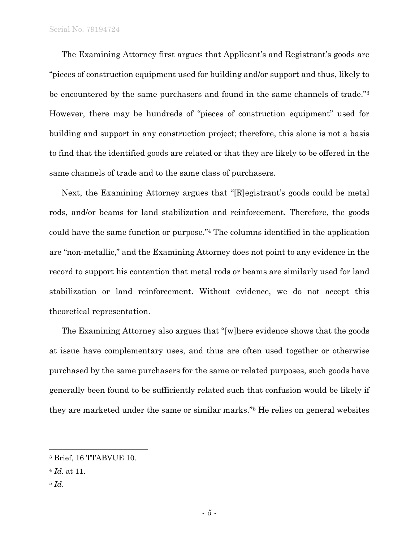The Examining Attorney first argues that Applicant's and Registrant's goods are "pieces of construction equipment used for building and/or support and thus, likely to be encountered by the same purchasers and found in the same channels of trade."3 However, there may be hundreds of "pieces of construction equipment" used for building and support in any construction project; therefore, this alone is not a basis to find that the identified goods are related or that they are likely to be offered in the same channels of trade and to the same class of purchasers.

Next, the Examining Attorney argues that "[R]egistrant's goods could be metal rods, and/or beams for land stabilization and reinforcement. Therefore, the goods could have the same function or purpose."4 The columns identified in the application are "non-metallic," and the Examining Attorney does not point to any evidence in the record to support his contention that metal rods or beams are similarly used for land stabilization or land reinforcement. Without evidence, we do not accept this theoretical representation.

The Examining Attorney also argues that "[w]here evidence shows that the goods at issue have complementary uses, and thus are often used together or otherwise purchased by the same purchasers for the same or related purposes, such goods have generally been found to be sufficiently related such that confusion would be likely if they are marketed under the same or similar marks."5 He relies on general websites

<sup>5</sup> *Id*.

l

<sup>3</sup> Brief, 16 TTABVUE 10.

<sup>4</sup> *Id.* at 11.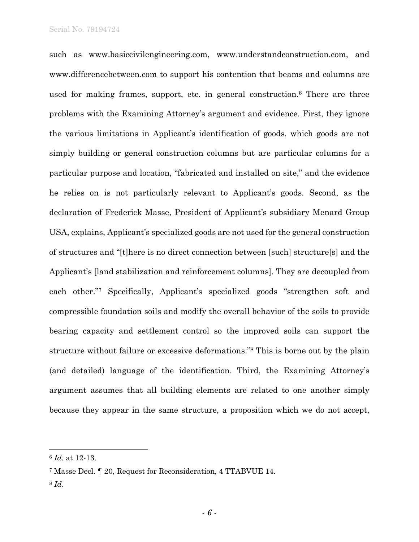such as www.basiccivilengineering.com, www.understandconstruction.com, and www.differencebetween.com to support his contention that beams and columns are used for making frames, support, etc. in general construction.6 There are three problems with the Examining Attorney's argument and evidence. First, they ignore the various limitations in Applicant's identification of goods, which goods are not simply building or general construction columns but are particular columns for a particular purpose and location, "fabricated and installed on site," and the evidence he relies on is not particularly relevant to Applicant's goods. Second, as the declaration of Frederick Masse, President of Applicant's subsidiary Menard Group USA, explains, Applicant's specialized goods are not used for the general construction of structures and "[t]here is no direct connection between [such] structure[s] and the Applicant's [land stabilization and reinforcement columns]. They are decoupled from each other."7 Specifically, Applicant's specialized goods "strengthen soft and compressible foundation soils and modify the overall behavior of the soils to provide bearing capacity and settlement control so the improved soils can support the structure without failure or excessive deformations."8 This is borne out by the plain (and detailed) language of the identification. Third, the Examining Attorney's argument assumes that all building elements are related to one another simply because they appear in the same structure, a proposition which we do not accept,

l

<sup>6</sup> *Id.* at 12-13.

<sup>7</sup> Masse Decl. ¶ 20, Request for Reconsideration, 4 TTABVUE 14.

<sup>8</sup> *Id*.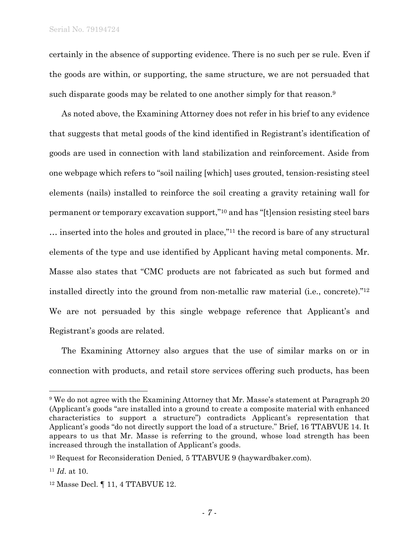certainly in the absence of supporting evidence. There is no such per se rule. Even if the goods are within, or supporting, the same structure, we are not persuaded that such disparate goods may be related to one another simply for that reason.<sup>9</sup>

As noted above, the Examining Attorney does not refer in his brief to any evidence that suggests that metal goods of the kind identified in Registrant's identification of goods are used in connection with land stabilization and reinforcement. Aside from one webpage which refers to "soil nailing [which] uses grouted, tension-resisting steel elements (nails) installed to reinforce the soil creating a gravity retaining wall for permanent or temporary excavation support,"10 and has "[t]ension resisting steel bars … inserted into the holes and grouted in place,"11 the record is bare of any structural elements of the type and use identified by Applicant having metal components. Mr. Masse also states that "CMC products are not fabricated as such but formed and installed directly into the ground from non-metallic raw material (i.e., concrete)."12 We are not persuaded by this single webpage reference that Applicant's and Registrant's goods are related.

The Examining Attorney also argues that the use of similar marks on or in connection with products, and retail store services offering such products, has been

1

<sup>9</sup> We do not agree with the Examining Attorney that Mr. Masse's statement at Paragraph 20 (Applicant's goods "are installed into a ground to create a composite material with enhanced characteristics to support a structure") contradicts Applicant's representation that Applicant's goods "do not directly support the load of a structure." Brief, 16 TTABVUE 14. It appears to us that Mr. Masse is referring to the ground, whose load strength has been increased through the installation of Applicant's goods.

<sup>10</sup> Request for Reconsideration Denied, 5 TTABVUE 9 (haywardbaker.com).

<sup>11</sup> *Id*. at 10.

<sup>12</sup> Masse Decl. ¶ 11, 4 TTABVUE 12.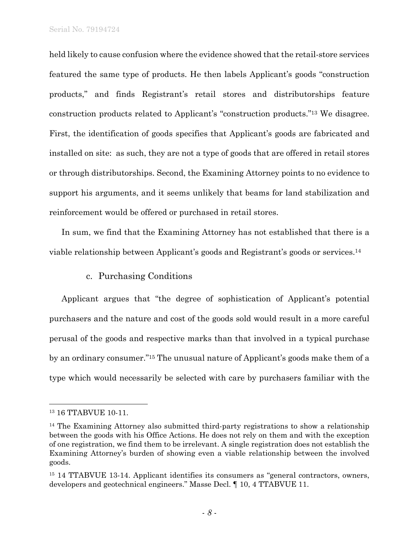held likely to cause confusion where the evidence showed that the retail-store services featured the same type of products. He then labels Applicant's goods "construction products," and finds Registrant's retail stores and distributorships feature construction products related to Applicant's "construction products."13 We disagree. First, the identification of goods specifies that Applicant's goods are fabricated and installed on site: as such, they are not a type of goods that are offered in retail stores or through distributorships. Second, the Examining Attorney points to no evidence to support his arguments, and it seems unlikely that beams for land stabilization and reinforcement would be offered or purchased in retail stores.

In sum, we find that the Examining Attorney has not established that there is a viable relationship between Applicant's goods and Registrant's goods or services.14

### c. Purchasing Conditions

Applicant argues that "the degree of sophistication of Applicant's potential purchasers and the nature and cost of the goods sold would result in a more careful perusal of the goods and respective marks than that involved in a typical purchase by an ordinary consumer."15 The unusual nature of Applicant's goods make them of a type which would necessarily be selected with care by purchasers familiar with the

 $\overline{a}$ 

<sup>13 16</sup> TTABVUE 10-11.

<sup>&</sup>lt;sup>14</sup> The Examining Attorney also submitted third-party registrations to show a relationship between the goods with his Office Actions. He does not rely on them and with the exception of one registration, we find them to be irrelevant. A single registration does not establish the Examining Attorney's burden of showing even a viable relationship between the involved goods.

<sup>&</sup>lt;sup>15</sup> 14 TTABVUE 13-14. Applicant identifies its consumers as "general contractors, owners, developers and geotechnical engineers." Masse Decl. ¶ 10, 4 TTABVUE 11.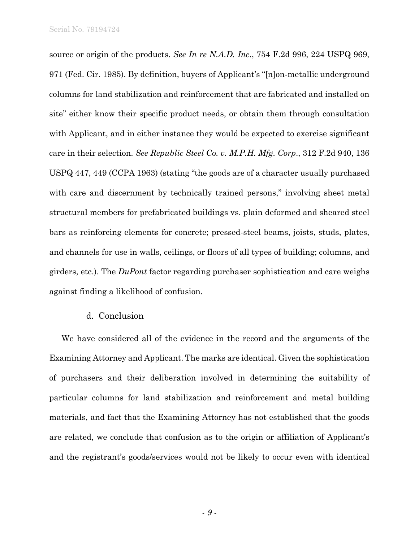source or origin of the products. *See In re N.A.D. Inc*., 754 F.2d 996, 224 USPQ 969, 971 (Fed. Cir. 1985). By definition, buyers of Applicant's "[n]on-metallic underground columns for land stabilization and reinforcement that are fabricated and installed on site" either know their specific product needs, or obtain them through consultation with Applicant, and in either instance they would be expected to exercise significant care in their selection. *See Republic Steel Co. v. M.P.H. Mfg. Corp*., 312 F.2d 940, 136 USPQ 447, 449 (CCPA 1963) (stating "the goods are of a character usually purchased with care and discernment by technically trained persons," involving sheet metal structural members for prefabricated buildings vs. plain deformed and sheared steel bars as reinforcing elements for concrete; pressed-steel beams, joists, studs, plates, and channels for use in walls, ceilings, or floors of all types of building; columns, and girders, etc.). The *DuPont* factor regarding purchaser sophistication and care weighs against finding a likelihood of confusion.

#### d. Conclusion

We have considered all of the evidence in the record and the arguments of the Examining Attorney and Applicant. The marks are identical. Given the sophistication of purchasers and their deliberation involved in determining the suitability of particular columns for land stabilization and reinforcement and metal building materials, and fact that the Examining Attorney has not established that the goods are related, we conclude that confusion as to the origin or affiliation of Applicant's and the registrant's goods/services would not be likely to occur even with identical